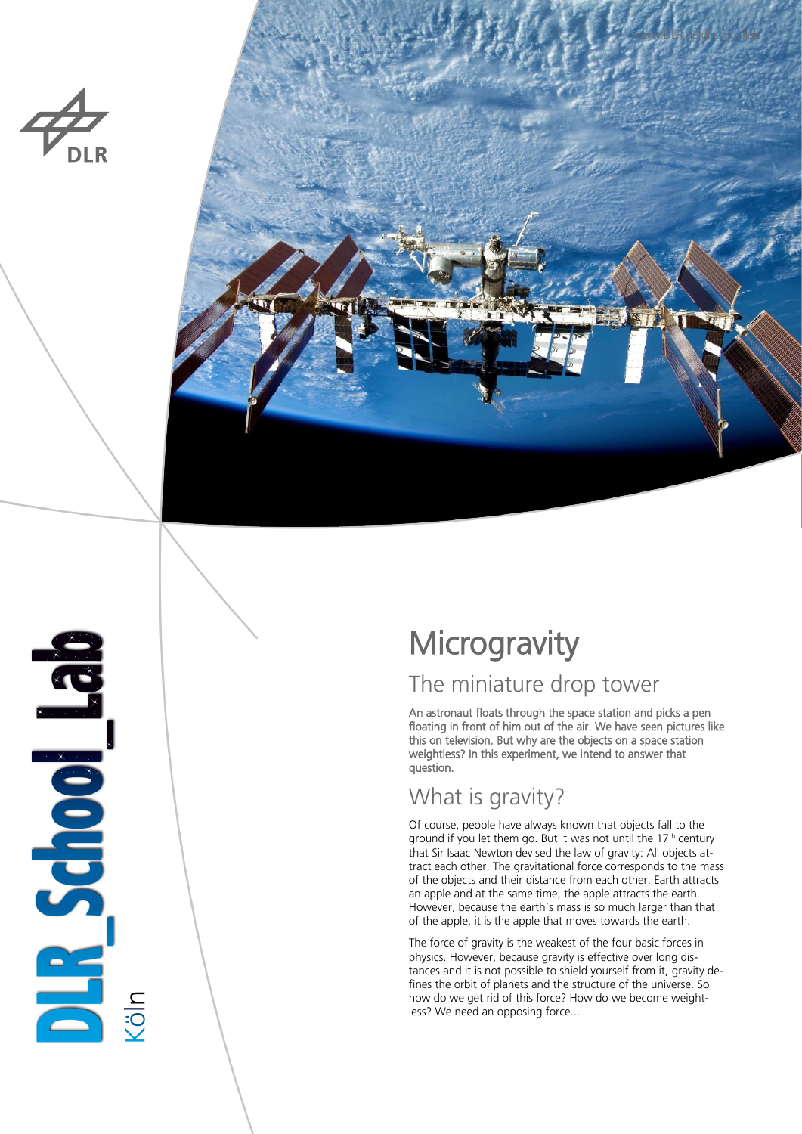



# BR School Bab

# **Microgravity**

## The miniature drop tower

An astronaut floats through the space station and picks a pen floating in front of him out of the air. We have seen pictures like this on television. But why are the objects on a space station weightless? In this experiment, we intend to answer that question.

# What is gravity?

Of course, people have always known that objects fall to the ground if you let them go. But it was not until the  $17<sup>th</sup>$  century that Sir Isaac Newton devised the law of gravity: All objects attract each other. The gravitational force corresponds to the mass of the objects and their distance from each other. Earth attracts an apple and at the same time, the apple attracts the earth. However, because the earth's mass is so much larger than that of the apple, it is the apple that moves towards the earth.

The force of gravity is the weakest of the four basic forces in physics. However, because gravity is effective over long distances and it is not possible to shield yourself from it, gravity defines the orbit of planets and the structure of the universe. So how do we get rid of this force? How do we become weightless? We need an opposing force...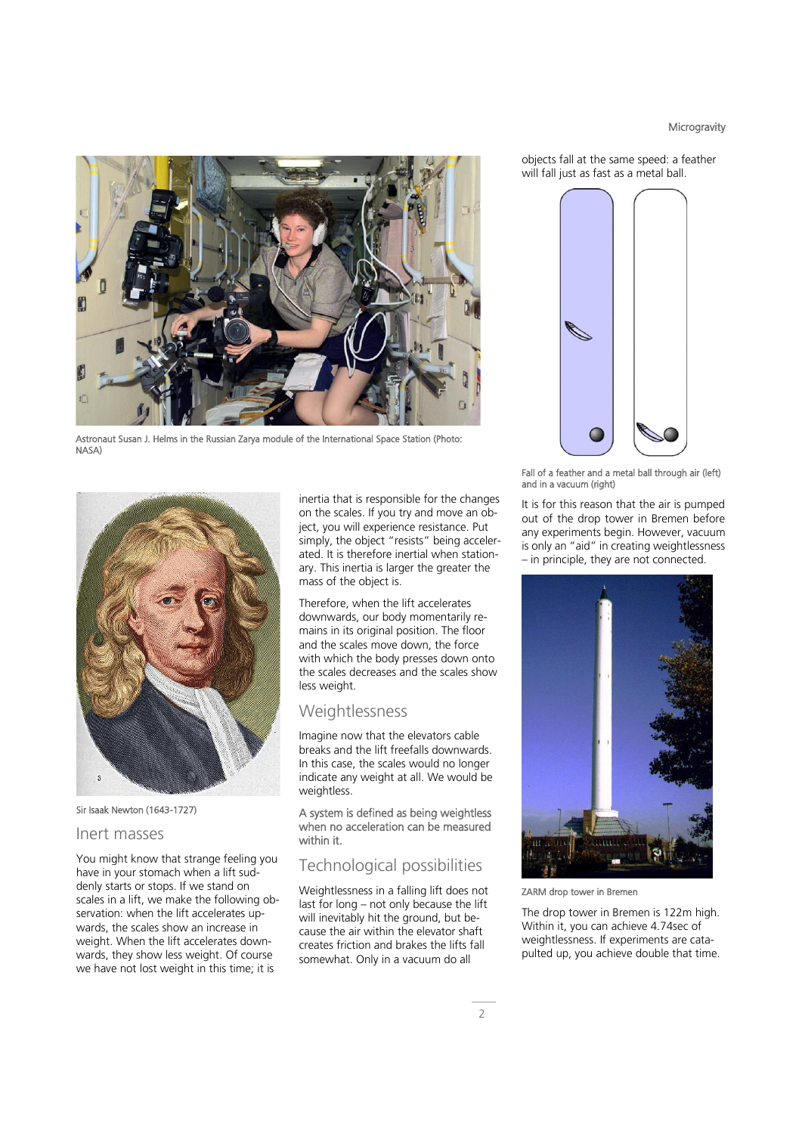### **Microgravity**



Astronaut Susan J. Helms in the Russian Zarya module of the International Space Station (Photo: NASA)



Sir Isaak Newton (1643-1727)

### Inert masses

You might know that strange feeling you have in your stomach when a lift suddenly starts or stops. If we stand on scales in a lift, we make the following observation: when the lift accelerates upwards, the scales show an increase in weight. When the lift accelerates downwards, they show less weight. Of course we have not lost weight in this time; it is

inertia that is responsible for the changes on the scales. If you try and move an object, you will experience resistance. Put simply, the object "resists" being accelerated. It is therefore inertial when stationary. This inertia is larger the greater the mass of the object is.

Therefore, when the lift accelerates downwards, our body momentarily remains in its original position. The floor and the scales move down, the force with which the body presses down onto the scales decreases and the scales show less weight.

### **Weightlessness**

Imagine now that the elevators cable breaks and the lift freefalls downwards. In this case, the scales would no longer indicate any weight at all. We would be weightless

A system is defined as being weightless when no acceleration can be measured within it.

### Technological possibilities

Weightlessness in a falling lift does not last for long – not only because the lift will inevitably hit the ground, but because the air within the elevator shaft creates friction and brakes the lifts fall somewhat. Only in a vacuum do all

objects fall at the same speed: a feather will fall just as fast as a metal ball.



Fall of a feather and a metal ball through air (left) and in a vacuum (right)

It is for this reason that the air is pumped out of the drop tower in Bremen before any experiments begin. However, vacuum is only an "aid" in creating weightlessness – in principle, they are not connected.



ZARM drop tower in Bremen

The drop tower in Bremen is 122m high. Within it, you can achieve 4.74sec of weightlessness. If experiments are catapulted up, you achieve double that time.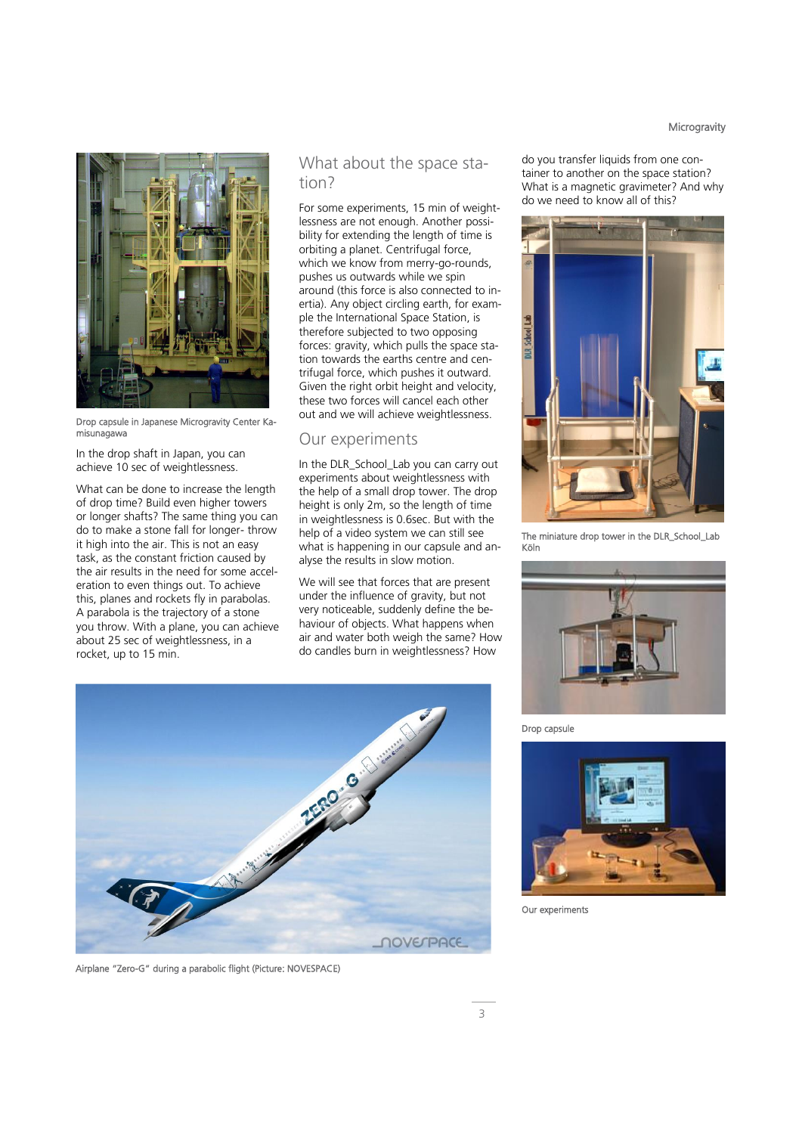### **Microgravity**



Drop capsule in Japanese Microgravity Center Kamisunagawa

In the drop shaft in Japan, you can achieve 10 sec of weightlessness.

What can be done to increase the length of drop time? Build even higher towers or longer shafts? The same thing you can do to make a stone fall for longer- throw it high into the air. This is not an easy task, as the constant friction caused by the air results in the need for some acceleration to even things out. To achieve this, planes and rockets fly in parabolas. A parabola is the trajectory of a stone you throw. With a plane, you can achieve about 25 sec of weightlessness, in a rocket, up to 15 min.

### What about the space station?

For some experiments, 15 min of weightlessness are not enough. Another possibility for extending the length of time is orbiting a planet. Centrifugal force, which we know from merry-go-rounds, pushes us outwards while we spin around (this force is also connected to inertia). Any object circling earth, for example the International Space Station, is therefore subjected to two opposing forces: gravity, which pulls the space station towards the earths centre and centrifugal force, which pushes it outward. Given the right orbit height and velocity, these two forces will cancel each other out and we will achieve weightlessness.

### Our experiments

In the DLR\_School\_Lab you can carry out experiments about weightlessness with the help of a small drop tower. The drop height is only 2m, so the length of time in weightlessness is 0.6sec. But with the help of a video system we can still see what is happening in our capsule and analyse the results in slow motion.

We will see that forces that are present under the influence of gravity, but not very noticeable, suddenly define the behaviour of objects. What happens when air and water both weigh the same? How do candles burn in weightlessness? How



Airplane "Zero-G" during a parabolic flight (Picture: NOVESPACE)

do you transfer liquids from one container to another on the space station? What is a magnetic gravimeter? And why do we need to know all of this?



The miniature drop tower in the DLR\_School\_Lab Köln



Drop capsule



Our experiments